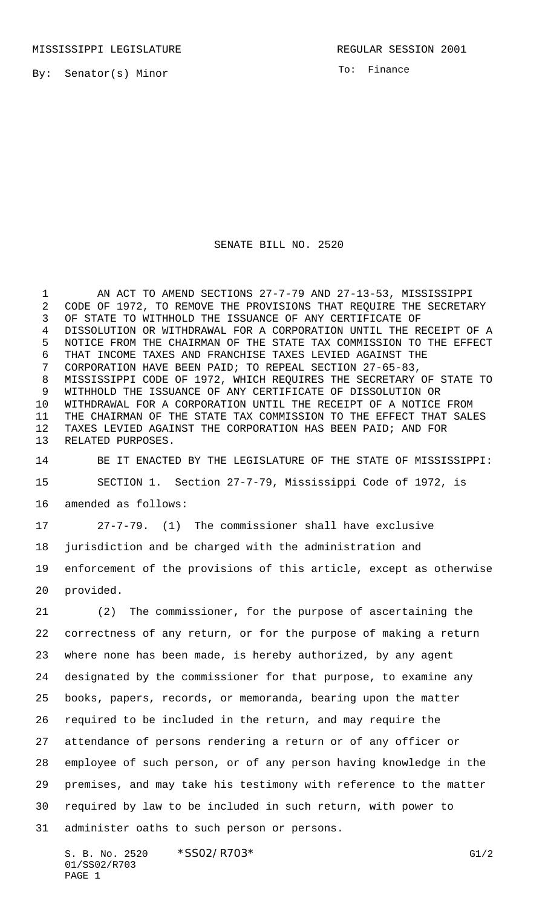By: Senator(s) Minor

To: Finance

## SENATE BILL NO. 2520

 AN ACT TO AMEND SECTIONS 27-7-79 AND 27-13-53, MISSISSIPPI CODE OF 1972, TO REMOVE THE PROVISIONS THAT REQUIRE THE SECRETARY OF STATE TO WITHHOLD THE ISSUANCE OF ANY CERTIFICATE OF DISSOLUTION OR WITHDRAWAL FOR A CORPORATION UNTIL THE RECEIPT OF A NOTICE FROM THE CHAIRMAN OF THE STATE TAX COMMISSION TO THE EFFECT THAT INCOME TAXES AND FRANCHISE TAXES LEVIED AGAINST THE CORPORATION HAVE BEEN PAID; TO REPEAL SECTION 27-65-83, MISSISSIPPI CODE OF 1972, WHICH REQUIRES THE SECRETARY OF STATE TO WITHHOLD THE ISSUANCE OF ANY CERTIFICATE OF DISSOLUTION OR WITHDRAWAL FOR A CORPORATION UNTIL THE RECEIPT OF A NOTICE FROM THE CHAIRMAN OF THE STATE TAX COMMISSION TO THE EFFECT THAT SALES TAXES LEVIED AGAINST THE CORPORATION HAS BEEN PAID; AND FOR RELATED PURPOSES.

 BE IT ENACTED BY THE LEGISLATURE OF THE STATE OF MISSISSIPPI: SECTION 1. Section 27-7-79, Mississippi Code of 1972, is amended as follows:

27-7-79. (1) The commissioner shall have exclusive

jurisdiction and be charged with the administration and

 enforcement of the provisions of this article, except as otherwise provided.

 (2) The commissioner, for the purpose of ascertaining the correctness of any return, or for the purpose of making a return where none has been made, is hereby authorized, by any agent designated by the commissioner for that purpose, to examine any books, papers, records, or memoranda, bearing upon the matter required to be included in the return, and may require the attendance of persons rendering a return or of any officer or employee of such person, or of any person having knowledge in the premises, and may take his testimony with reference to the matter required by law to be included in such return, with power to administer oaths to such person or persons.

S. B. No. 2520 \* SSO2/R703\* G1/2 01/SS02/R703 PAGE 1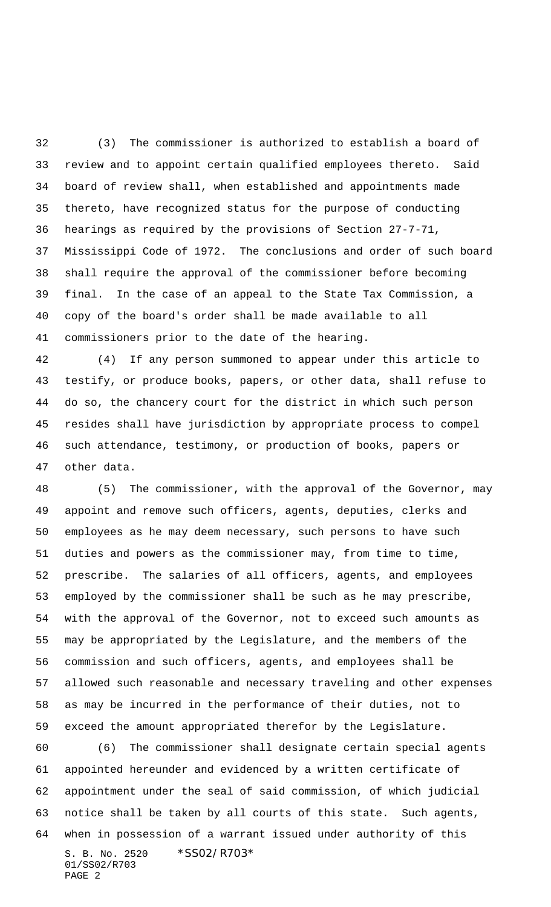(3) The commissioner is authorized to establish a board of review and to appoint certain qualified employees thereto. Said board of review shall, when established and appointments made thereto, have recognized status for the purpose of conducting hearings as required by the provisions of Section 27-7-71, Mississippi Code of 1972. The conclusions and order of such board shall require the approval of the commissioner before becoming final. In the case of an appeal to the State Tax Commission, a copy of the board's order shall be made available to all commissioners prior to the date of the hearing.

 (4) If any person summoned to appear under this article to testify, or produce books, papers, or other data, shall refuse to do so, the chancery court for the district in which such person resides shall have jurisdiction by appropriate process to compel such attendance, testimony, or production of books, papers or other data.

 (5) The commissioner, with the approval of the Governor, may appoint and remove such officers, agents, deputies, clerks and employees as he may deem necessary, such persons to have such duties and powers as the commissioner may, from time to time, prescribe. The salaries of all officers, agents, and employees employed by the commissioner shall be such as he may prescribe, with the approval of the Governor, not to exceed such amounts as may be appropriated by the Legislature, and the members of the commission and such officers, agents, and employees shall be allowed such reasonable and necessary traveling and other expenses as may be incurred in the performance of their duties, not to exceed the amount appropriated therefor by the Legislature.

S. B. No. 2520 \*SS02/R703\* 01/SS02/R703 PAGE 2 (6) The commissioner shall designate certain special agents appointed hereunder and evidenced by a written certificate of appointment under the seal of said commission, of which judicial notice shall be taken by all courts of this state. Such agents, when in possession of a warrant issued under authority of this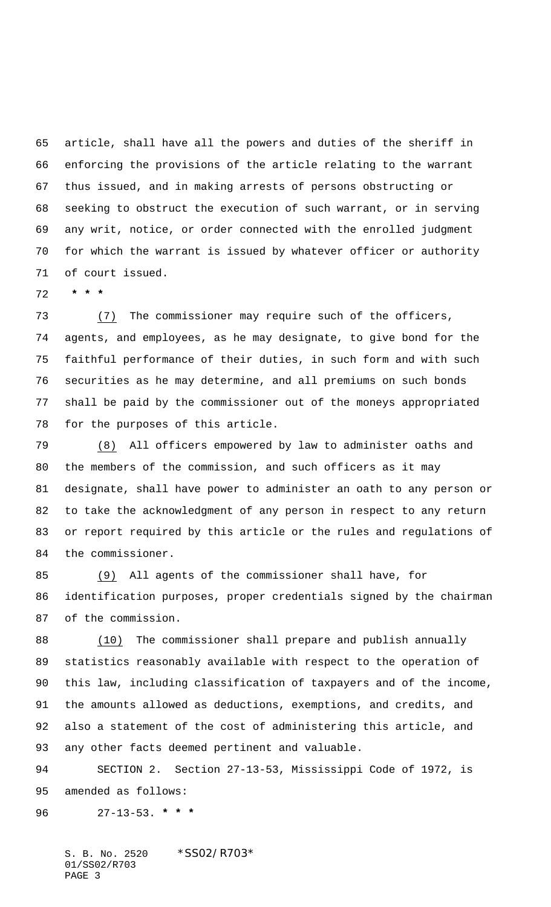article, shall have all the powers and duties of the sheriff in enforcing the provisions of the article relating to the warrant thus issued, and in making arrests of persons obstructing or seeking to obstruct the execution of such warrant, or in serving any writ, notice, or order connected with the enrolled judgment for which the warrant is issued by whatever officer or authority of court issued.

 **\* \* \***

 (7) The commissioner may require such of the officers, agents, and employees, as he may designate, to give bond for the faithful performance of their duties, in such form and with such securities as he may determine, and all premiums on such bonds shall be paid by the commissioner out of the moneys appropriated for the purposes of this article.

 (8) All officers empowered by law to administer oaths and the members of the commission, and such officers as it may designate, shall have power to administer an oath to any person or to take the acknowledgment of any person in respect to any return or report required by this article or the rules and regulations of the commissioner.

 (9) All agents of the commissioner shall have, for identification purposes, proper credentials signed by the chairman of the commission.

 (10) The commissioner shall prepare and publish annually statistics reasonably available with respect to the operation of this law, including classification of taxpayers and of the income, the amounts allowed as deductions, exemptions, and credits, and also a statement of the cost of administering this article, and any other facts deemed pertinent and valuable.

 SECTION 2. Section 27-13-53, Mississippi Code of 1972, is amended as follows:

27-13-53. **\* \* \***

S. B. No. 2520 \*SS02/R703\* 01/SS02/R703 PAGE 3